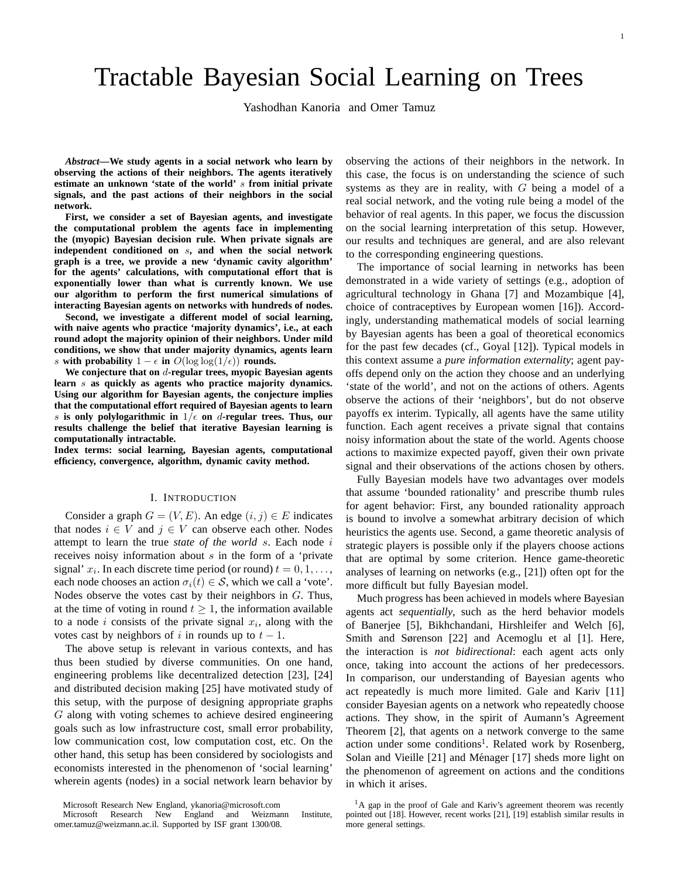# Tractable Bayesian Social Learning on Trees

Yashodhan Kanoria and Omer Tamuz

*Abstract***—We study agents in a social network who learn by observing the actions of their neighbors. The agents iteratively estimate an unknown 'state of the world'** s **from initial private signals, and the past actions of their neighbors in the social network.**

**First, we consider a set of Bayesian agents, and investigate the computational problem the agents face in implementing the (myopic) Bayesian decision rule. When private signals are independent conditioned on** s**, and when the social network graph is a tree, we provide a new 'dynamic cavity algorithm' for the agents' calculations, with computational effort that is exponentially lower than what is currently known. We use our algorithm to perform the first numerical simulations of interacting Bayesian agents on networks with hundreds of nodes.**

**Second, we investigate a different model of social learning, with naive agents who practice 'majority dynamics', i.e., at each round adopt the majority opinion of their neighbors. Under mild conditions, we show that under majority dynamics, agents learn** s **with probability**  $1 - \epsilon$  **in**  $O(\log \log(1/\epsilon))$  **rounds.** 

We conjecture that on d-regular trees, myopic Bayesian agents **learn** s **as quickly as agents who practice majority dynamics. Using our algorithm for Bayesian agents, the conjecture implies that the computational effort required of Bayesian agents to learn** s is only polylogarithmic in  $1/\epsilon$  on d-regular trees. Thus, our **results challenge the belief that iterative Bayesian learning is computationally intractable.**

**Index terms: social learning, Bayesian agents, computational efficiency, convergence, algorithm, dynamic cavity method.**

#### I. INTRODUCTION

Consider a graph  $G = (V, E)$ . An edge  $(i, j) \in E$  indicates that nodes  $i \in V$  and  $j \in V$  can observe each other. Nodes attempt to learn the true *state of the world* s. Each node i receives noisy information about s in the form of a 'private signal'  $x_i$ . In each discrete time period (or round)  $t = 0, 1, \ldots$ , each node chooses an action  $\sigma_i(t) \in S$ , which we call a 'vote'. Nodes observe the votes cast by their neighbors in G. Thus, at the time of voting in round  $t \geq 1$ , the information available to a node i consists of the private signal  $x_i$ , along with the votes cast by neighbors of i in rounds up to  $t - 1$ .

The above setup is relevant in various contexts, and has thus been studied by diverse communities. On one hand, engineering problems like decentralized detection [23], [24] and distributed decision making [25] have motivated study of this setup, with the purpose of designing appropriate graphs G along with voting schemes to achieve desired engineering goals such as low infrastructure cost, small error probability, low communication cost, low computation cost, etc. On the other hand, this setup has been considered by sociologists and economists interested in the phenomenon of 'social learning' wherein agents (nodes) in a social network learn behavior by

Microsoft Research New England, ykanoria@microsoft.com

observing the actions of their neighbors in the network. In this case, the focus is on understanding the science of such systems as they are in reality, with  $G$  being a model of a real social network, and the voting rule being a model of the behavior of real agents. In this paper, we focus the discussion on the social learning interpretation of this setup. However, our results and techniques are general, and are also relevant to the corresponding engineering questions.

The importance of social learning in networks has been demonstrated in a wide variety of settings (e.g., adoption of agricultural technology in Ghana [7] and Mozambique [4], choice of contraceptives by European women [16]). Accordingly, understanding mathematical models of social learning by Bayesian agents has been a goal of theoretical economics for the past few decades (cf., Goyal [12]). Typical models in this context assume a *pure information externality*; agent payoffs depend only on the action they choose and an underlying 'state of the world', and not on the actions of others. Agents observe the actions of their 'neighbors', but do not observe payoffs ex interim. Typically, all agents have the same utility function. Each agent receives a private signal that contains noisy information about the state of the world. Agents choose actions to maximize expected payoff, given their own private signal and their observations of the actions chosen by others.

Fully Bayesian models have two advantages over models that assume 'bounded rationality' and prescribe thumb rules for agent behavior: First, any bounded rationality approach is bound to involve a somewhat arbitrary decision of which heuristics the agents use. Second, a game theoretic analysis of strategic players is possible only if the players choose actions that are optimal by some criterion. Hence game-theoretic analyses of learning on networks (e.g., [21]) often opt for the more difficult but fully Bayesian model.

Much progress has been achieved in models where Bayesian agents act *sequentially*, such as the herd behavior models of Banerjee [5], Bikhchandani, Hirshleifer and Welch [6], Smith and Sørenson [22] and Acemoglu et al [1]. Here, the interaction is *not bidirectional*: each agent acts only once, taking into account the actions of her predecessors. In comparison, our understanding of Bayesian agents who act repeatedly is much more limited. Gale and Kariv [11] consider Bayesian agents on a network who repeatedly choose actions. They show, in the spirit of Aumann's Agreement Theorem [2], that agents on a network converge to the same action under some conditions<sup>1</sup>. Related work by Rosenberg, Solan and Vieille [21] and Ménager [17] sheds more light on the phenomenon of agreement on actions and the conditions in which it arises.

Microsoft Research New England and Weizmann Institute, omer.tamuz@weizmann.ac.il. Supported by ISF grant 1300/08.

 ${}^{1}$ A gap in the proof of Gale and Kariv's agreement theorem was recently pointed out [18]. However, recent works [21], [19] establish similar results in more general settings.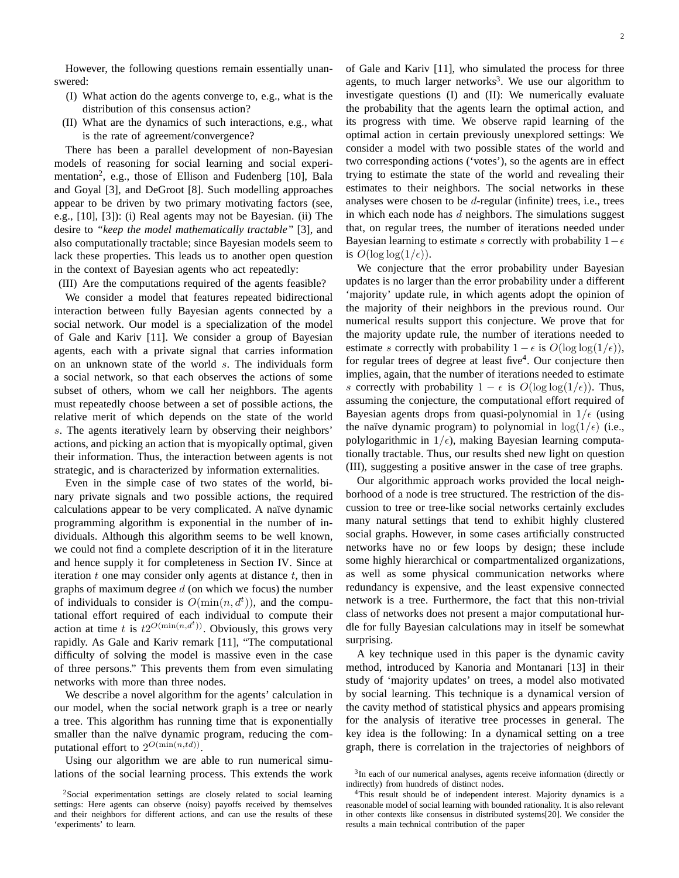However, the following questions remain essentially unanswered:

- (I) What action do the agents converge to, e.g., what is the distribution of this consensus action?
- (II) What are the dynamics of such interactions, e.g., what is the rate of agreement/convergence?

There has been a parallel development of non-Bayesian models of reasoning for social learning and social experimentation<sup>2</sup>, e.g., those of Ellison and Fudenberg [10], Bala and Goyal [3], and DeGroot [8]. Such modelling approaches appear to be driven by two primary motivating factors (see, e.g., [10], [3]): (i) Real agents may not be Bayesian. (ii) The desire to *"keep the model mathematically tractable"* [3], and also computationally tractable; since Bayesian models seem to lack these properties. This leads us to another open question in the context of Bayesian agents who act repeatedly:

(III) Are the computations required of the agents feasible?

We consider a model that features repeated bidirectional interaction between fully Bayesian agents connected by a social network. Our model is a specialization of the model of Gale and Kariv [11]. We consider a group of Bayesian agents, each with a private signal that carries information on an unknown state of the world s. The individuals form a social network, so that each observes the actions of some subset of others, whom we call her neighbors. The agents must repeatedly choose between a set of possible actions, the relative merit of which depends on the state of the world s. The agents iteratively learn by observing their neighbors' actions, and picking an action that is myopically optimal, given their information. Thus, the interaction between agents is not strategic, and is characterized by information externalities.

Even in the simple case of two states of the world, binary private signals and two possible actions, the required calculations appear to be very complicated. A naïve dynamic programming algorithm is exponential in the number of individuals. Although this algorithm seems to be well known, we could not find a complete description of it in the literature and hence supply it for completeness in Section IV. Since at iteration  $t$  one may consider only agents at distance  $t$ , then in graphs of maximum degree  $d$  (on which we focus) the number of individuals to consider is  $O(\min(n, d^t))$ , and the computational effort required of each individual to compute their action at time t is  $t2^{O(\min(n, d^t))}$ . Obviously, this grows very rapidly. As Gale and Kariv remark [11], "The computational difficulty of solving the model is massive even in the case of three persons." This prevents them from even simulating networks with more than three nodes.

We describe a novel algorithm for the agents' calculation in our model, when the social network graph is a tree or nearly a tree. This algorithm has running time that is exponentially smaller than the naïve dynamic program, reducing the computational effort to  $2^{O(\min(n, td))}$ .

Using our algorithm we are able to run numerical simulations of the social learning process. This extends the work of Gale and Kariv [11], who simulated the process for three agents, to much larger networks<sup>3</sup>. We use our algorithm to investigate questions (I) and (II): We numerically evaluate the probability that the agents learn the optimal action, and its progress with time. We observe rapid learning of the optimal action in certain previously unexplored settings: We consider a model with two possible states of the world and two corresponding actions ('votes'), so the agents are in effect trying to estimate the state of the world and revealing their estimates to their neighbors. The social networks in these analyses were chosen to be  $d$ -regular (infinite) trees, i.e., trees in which each node has  $d$  neighbors. The simulations suggest that, on regular trees, the number of iterations needed under Bayesian learning to estimate s correctly with probability  $1-\epsilon$ is  $O(\log \log(1/\epsilon))$ .

We conjecture that the error probability under Bayesian updates is no larger than the error probability under a different 'majority' update rule, in which agents adopt the opinion of the majority of their neighbors in the previous round. Our numerical results support this conjecture. We prove that for the majority update rule, the number of iterations needed to estimate s correctly with probability  $1 - \epsilon$  is  $O(\log \log(1/\epsilon))$ , for regular trees of degree at least five<sup>4</sup>. Our conjecture then implies, again, that the number of iterations needed to estimate s correctly with probability  $1 - \epsilon$  is  $O(\log \log(1/\epsilon))$ . Thus, assuming the conjecture, the computational effort required of Bayesian agents drops from quasi-polynomial in  $1/\epsilon$  (using the naïve dynamic program) to polynomial in  $log(1/\epsilon)$  (i.e., polylogarithmic in  $1/\epsilon$ ), making Bayesian learning computationally tractable. Thus, our results shed new light on question (III), suggesting a positive answer in the case of tree graphs.

Our algorithmic approach works provided the local neighborhood of a node is tree structured. The restriction of the discussion to tree or tree-like social networks certainly excludes many natural settings that tend to exhibit highly clustered social graphs. However, in some cases artificially constructed networks have no or few loops by design; these include some highly hierarchical or compartmentalized organizations, as well as some physical communication networks where redundancy is expensive, and the least expensive connected network is a tree. Furthermore, the fact that this non-trivial class of networks does not present a major computational hurdle for fully Bayesian calculations may in itself be somewhat surprising.

A key technique used in this paper is the dynamic cavity method, introduced by Kanoria and Montanari [13] in their study of 'majority updates' on trees, a model also motivated by social learning. This technique is a dynamical version of the cavity method of statistical physics and appears promising for the analysis of iterative tree processes in general. The key idea is the following: In a dynamical setting on a tree graph, there is correlation in the trajectories of neighbors of

<sup>2</sup>Social experimentation settings are closely related to social learning settings: Here agents can observe (noisy) payoffs received by themselves and their neighbors for different actions, and can use the results of these 'experiments' to learn.

<sup>&</sup>lt;sup>3</sup>In each of our numerical analyses, agents receive information (directly or indirectly) from hundreds of distinct nodes.

<sup>4</sup>This result should be of independent interest. Majority dynamics is a reasonable model of social learning with bounded rationality. It is also relevant in other contexts like consensus in distributed systems[20]. We consider the results a main technical contribution of the paper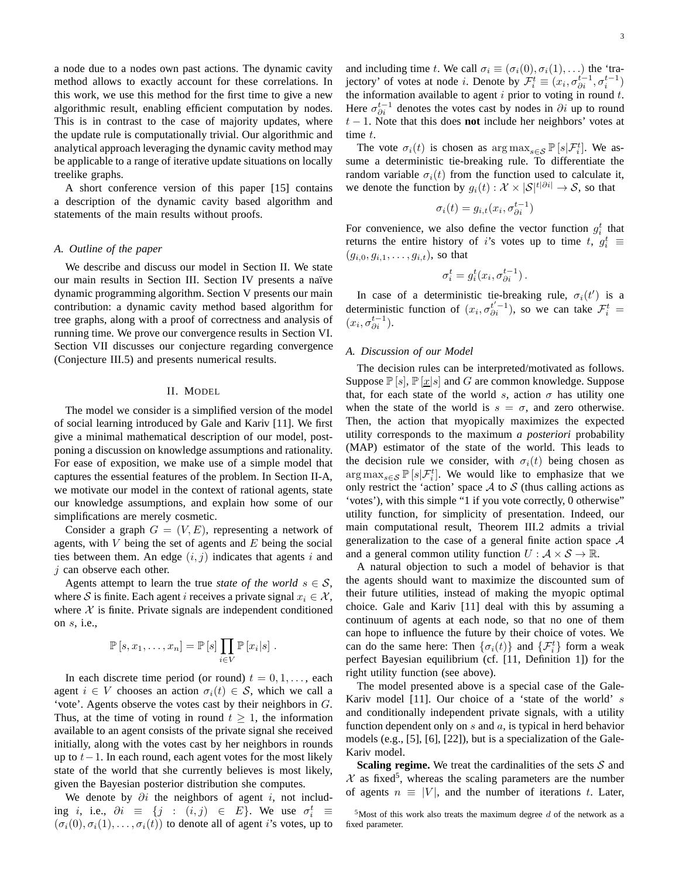a node due to a nodes own past actions. The dynamic cavity method allows to exactly account for these correlations. In this work, we use this method for the first time to give a new algorithmic result, enabling efficient computation by nodes. This is in contrast to the case of majority updates, where the update rule is computationally trivial. Our algorithmic and analytical approach leveraging the dynamic cavity method may be applicable to a range of iterative update situations on locally treelike graphs.

A short conference version of this paper [15] contains a description of the dynamic cavity based algorithm and statements of the main results without proofs.

## *A. Outline of the paper*

We describe and discuss our model in Section II. We state our main results in Section III. Section IV presents a naïve dynamic programming algorithm. Section V presents our main contribution: a dynamic cavity method based algorithm for tree graphs, along with a proof of correctness and analysis of running time. We prove our convergence results in Section VI. Section VII discusses our conjecture regarding convergence (Conjecture III.5) and presents numerical results.

## II. MODEL

The model we consider is a simplified version of the model of social learning introduced by Gale and Kariv [11]. We first give a minimal mathematical description of our model, postponing a discussion on knowledge assumptions and rationality. For ease of exposition, we make use of a simple model that captures the essential features of the problem. In Section II-A, we motivate our model in the context of rational agents, state our knowledge assumptions, and explain how some of our simplifications are merely cosmetic.

Consider a graph  $G = (V, E)$ , representing a network of agents, with  $V$  being the set of agents and  $E$  being the social ties between them. An edge  $(i, j)$  indicates that agents i and *i* can observe each other.

Agents attempt to learn the true *state of the world*  $s \in S$ , where S is finite. Each agent i receives a private signal  $x_i \in \mathcal{X}$ , where  $X$  is finite. Private signals are independent conditioned on  $s$ , i.e.,

$$
\mathbb{P}[s, x_1, \ldots, x_n] = \mathbb{P}[s] \prod_{i \in V} \mathbb{P}[x_i|s].
$$

In each discrete time period (or round)  $t = 0, 1, \ldots$ , each agent  $i \in V$  chooses an action  $\sigma_i(t) \in S$ , which we call a 'vote'. Agents observe the votes cast by their neighbors in G. Thus, at the time of voting in round  $t \geq 1$ , the information available to an agent consists of the private signal she received initially, along with the votes cast by her neighbors in rounds up to  $t-1$ . In each round, each agent votes for the most likely state of the world that she currently believes is most likely, given the Bayesian posterior distribution she computes.

We denote by  $\partial i$  the neighbors of agent i, not including *i*, i.e.,  $\partial i \equiv \{j : (i,j) \in E\}$ . We use  $\sigma_i^t \equiv$  $(\sigma_i(0), \sigma_i(1), \ldots, \sigma_i(t))$  to denote all of agent *i*'s votes, up to

and including time t. We call  $\sigma_i \equiv (\sigma_i(0), \sigma_i(1), ...)$  the 'trajectory' of votes at node *i*. Denote by  $\mathcal{F}_i^t \equiv (x_i, \sigma_{\partial i}^{t-1}, \sigma_i^{t-1})$ the information available to agent  $i$  prior to voting in round  $t$ . Here  $\sigma_{\partial i}^{t-1}$  denotes the votes cast by nodes in  $\partial i$  up to round t − 1. Note that this does **not** include her neighbors' votes at time t.

The vote  $\sigma_i(t)$  is chosen as  $\arg \max_{s \in \mathcal{S}} \mathbb{P}\left[s|\mathcal{F}_i^t\right]$ . We assume a deterministic tie-breaking rule. To differentiate the random variable  $\sigma_i(t)$  from the function used to calculate it, we denote the function by  $g_i(t): \mathcal{X} \times |\mathcal{S}|^{t|\partial i|} \to \mathcal{S}$ , so that

$$
\sigma_i(t) = g_{i,t}(x_i, \sigma_{\partial i}^{t-1})
$$

For convenience, we also define the vector function  $g_i^t$  that returns the entire history of i's votes up to time t,  $g_i^t$   $\equiv$  $(g_{i,0}, g_{i,1}, \ldots, g_{i,t})$ , so that

$$
\sigma_i^t = g_i^t(x_i, \sigma_{\partial i}^{t-1}).
$$

In case of a deterministic tie-breaking rule,  $\sigma_i(t')$  is a deterministic function of  $(x_i, \sigma_{\partial i}^{t'-1})$ , so we can take  $\mathcal{F}_i^t$  =  $(x_i, \sigma_{\partial i}^{t-1}).$ 

# *A. Discussion of our Model*

The decision rules can be interpreted/motivated as follows. Suppose  $\mathbb{P}[s], \mathbb{P}[\underline{x}|s]$  and G are common knowledge. Suppose that, for each state of the world s, action  $\sigma$  has utility one when the state of the world is  $s = \sigma$ , and zero otherwise. Then, the action that myopically maximizes the expected utility corresponds to the maximum *a posteriori* probability (MAP) estimator of the state of the world. This leads to the decision rule we consider, with  $\sigma_i(t)$  being chosen as  $\arg \max_{s \in \mathcal{S}} \mathbb{P}\left[s|\mathcal{F}_{i}^{t}\right]$ . We would like to emphasize that we only restrict the 'action' space  $A$  to  $S$  (thus calling actions as 'votes'), with this simple "1 if you vote correctly, 0 otherwise" utility function, for simplicity of presentation. Indeed, our main computational result, Theorem III.2 admits a trivial generalization to the case of a general finite action space  $A$ and a general common utility function  $U : \mathcal{A} \times \mathcal{S} \to \mathbb{R}$ .

A natural objection to such a model of behavior is that the agents should want to maximize the discounted sum of their future utilities, instead of making the myopic optimal choice. Gale and Kariv [11] deal with this by assuming a continuum of agents at each node, so that no one of them can hope to influence the future by their choice of votes. We can do the same here: Then  $\{\sigma_i(t)\}\$  and  $\{\mathcal{F}_i^t\}$  form a weak perfect Bayesian equilibrium (cf. [11, Definition 1]) for the right utility function (see above).

The model presented above is a special case of the Gale-Kariv model [11]. Our choice of a 'state of the world' s and conditionally independent private signals, with a utility function dependent only on  $s$  and  $a$ , is typical in herd behavior models (e.g., [5], [6], [22]), but is a specialization of the Gale-Kariv model.

**Scaling regime.** We treat the cardinalities of the sets  $S$  and  $X$  as fixed<sup>5</sup>, whereas the scaling parameters are the number of agents  $n \equiv |V|$ , and the number of iterations t. Later,

<sup>&</sup>lt;sup>5</sup>Most of this work also treats the maximum degree d of the network as a fixed parameter.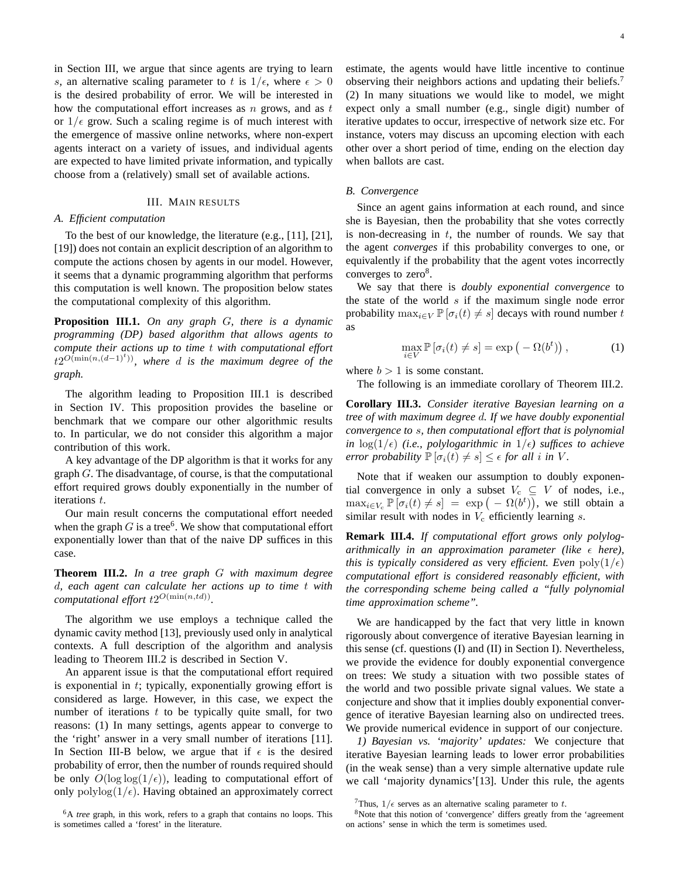in Section III, we argue that since agents are trying to learn s, an alternative scaling parameter to t is  $1/\epsilon$ , where  $\epsilon > 0$ is the desired probability of error. We will be interested in how the computational effort increases as  $n$  grows, and as  $t$ or  $1/\epsilon$  grow. Such a scaling regime is of much interest with the emergence of massive online networks, where non-expert agents interact on a variety of issues, and individual agents are expected to have limited private information, and typically choose from a (relatively) small set of available actions.

# III. MAIN RESULTS

#### *A. Efficient computation*

To the best of our knowledge, the literature (e.g., [11], [21], [19]) does not contain an explicit description of an algorithm to compute the actions chosen by agents in our model. However, it seems that a dynamic programming algorithm that performs this computation is well known. The proposition below states the computational complexity of this algorithm.

**Proposition III.1.** *On any graph* G*, there is a dynamic programming (DP) based algorithm that allows agents to compute their actions up to time* t *with computational effort* t2 O(min(n,(d−1)<sup>t</sup> ))*, where* d *is the maximum degree of the graph.*

The algorithm leading to Proposition III.1 is described in Section IV. This proposition provides the baseline or benchmark that we compare our other algorithmic results to. In particular, we do not consider this algorithm a major contribution of this work.

A key advantage of the DP algorithm is that it works for any graph G. The disadvantage, of course, is that the computational effort required grows doubly exponentially in the number of iterations t.

Our main result concerns the computational effort needed when the graph  $G$  is a tree<sup>6</sup>. We show that computational effort exponentially lower than that of the naive DP suffices in this case.

**Theorem III.2.** *In a tree graph* G *with maximum degree* d*, each agent can calculate her actions up to time* t *with computational effort*  $t2^{O(\min(n, td))}$ .

The algorithm we use employs a technique called the dynamic cavity method [13], previously used only in analytical contexts. A full description of the algorithm and analysis leading to Theorem III.2 is described in Section V.

An apparent issue is that the computational effort required is exponential in  $t$ ; typically, exponentially growing effort is considered as large. However, in this case, we expect the number of iterations  $t$  to be typically quite small, for two reasons: (1) In many settings, agents appear to converge to the 'right' answer in a very small number of iterations [11]. In Section III-B below, we argue that if  $\epsilon$  is the desired probability of error, then the number of rounds required should be only  $O(\log \log(1/\epsilon))$ , leading to computational effort of only  $\text{polylog}(1/\epsilon)$ . Having obtained an approximately correct

<sup>6</sup>A *tree* graph, in this work, refers to a graph that contains no loops. This is sometimes called a 'forest' in the literature.

estimate, the agents would have little incentive to continue observing their neighbors actions and updating their beliefs.<sup>7</sup> (2) In many situations we would like to model, we might expect only a small number (e.g., single digit) number of iterative updates to occur, irrespective of network size etc. For instance, voters may discuss an upcoming election with each other over a short period of time, ending on the election day when ballots are cast.

#### *B. Convergence*

Since an agent gains information at each round, and since she is Bayesian, then the probability that she votes correctly is non-decreasing in  $t$ , the number of rounds. We say that the agent *converges* if this probability converges to one, or equivalently if the probability that the agent votes incorrectly converges to zero<sup>8</sup>.

We say that there is *doubly exponential convergence* to the state of the world  $s$  if the maximum single node error probability  $\max_{i \in V} \mathbb{P} [\sigma_i(t) \neq s]$  decays with round number t as

$$
\max_{i \in V} \mathbb{P}\left[\sigma_i(t) \neq s\right] = \exp\left(-\Omega(b^t)\right),\tag{1}
$$

where  $b > 1$  is some constant.

The following is an immediate corollary of Theorem III.2.

**Corollary III.3.** *Consider iterative Bayesian learning on a tree of with maximum degree* d*. If we have doubly exponential convergence to* s*, then computational effort that is polynomial in*  $log(1/\epsilon)$  *(i.e., polylogarithmic in*  $1/\epsilon$ *) suffices to achieve error probability*  $\mathbb{P}[\sigma_i(t) \neq s] \leq \epsilon$  *for all i in V.* 

Note that if weaken our assumption to doubly exponential convergence in only a subset  $V_c \subseteq V$  of nodes, i.e.,  $\max_{i \in V_c} \mathbb{P}\left[\sigma_i(t) \neq s\right] = \exp\left(-\Omega(b^t)\right)$ , we still obtain a similar result with nodes in  $V_c$  efficiently learning s.

**Remark III.4.** *If computational effort grows only polylogarithmically in an approximation parameter (like*  $\epsilon$  *here), this is typically considered as very efficient. Even*  $poly(1/\epsilon)$ *computational effort is considered reasonably efficient, with the corresponding scheme being called a "fully polynomial time approximation scheme".*

We are handicapped by the fact that very little in known rigorously about convergence of iterative Bayesian learning in this sense (cf. questions (I) and (II) in Section I). Nevertheless, we provide the evidence for doubly exponential convergence on trees: We study a situation with two possible states of the world and two possible private signal values. We state a conjecture and show that it implies doubly exponential convergence of iterative Bayesian learning also on undirected trees. We provide numerical evidence in support of our conjecture.

*1) Bayesian vs. 'majority' updates:* We conjecture that iterative Bayesian learning leads to lower error probabilities (in the weak sense) than a very simple alternative update rule we call 'majority dynamics'[13]. Under this rule, the agents

<sup>&</sup>lt;sup>7</sup>Thus,  $1/\epsilon$  serves as an alternative scaling parameter to t.

<sup>8</sup>Note that this notion of 'convergence' differs greatly from the 'agreement on actions' sense in which the term is sometimes used.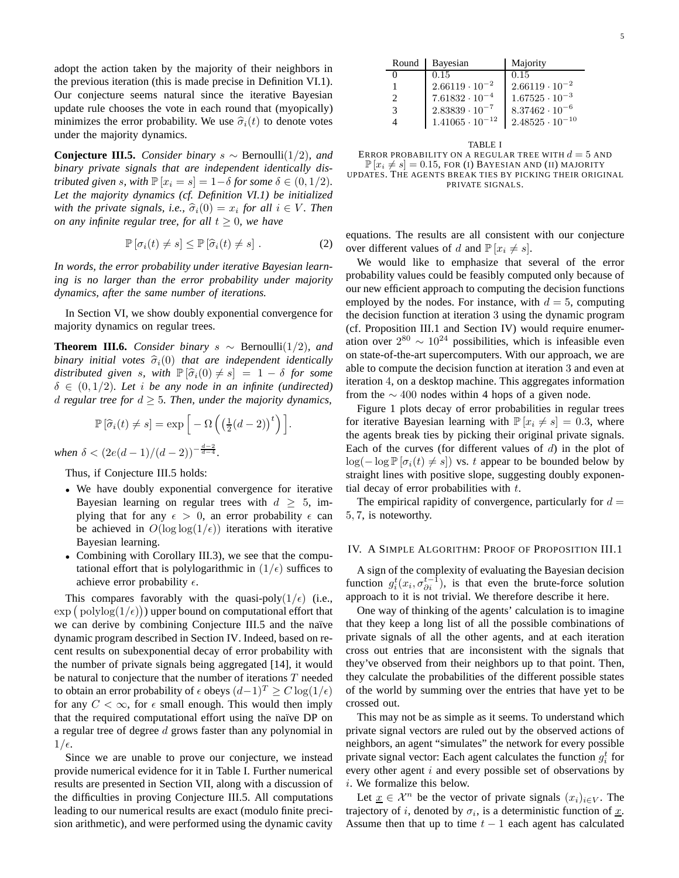adopt the action taken by the majority of their neighbors in the previous iteration (this is made precise in Definition VI.1). Our conjecture seems natural since the iterative Bayesian update rule chooses the vote in each round that (myopically) minimizes the error probability. We use  $\hat{\sigma}_i(t)$  to denote votes under the majority dynamics.

**Conjecture III.5.** *Consider binary* s ∼ Bernoulli(1/2)*, and binary private signals that are independent identically distributed given s, with*  $\mathbb{P}[x_i = s] = 1 - \delta$  *for some*  $\delta \in (0, 1/2)$ *. Let the majority dynamics (cf. Definition VI.1) be initialized with the private signals, i.e.,*  $\hat{\sigma}_i(0) = x_i$  *for all*  $i \in V$ *. Then on any infinite regular tree, for all*  $t \geq 0$ *, we have* 

$$
\mathbb{P}\left[\sigma_i(t) \neq s\right] \leq \mathbb{P}\left[\widehat{\sigma}_i(t) \neq s\right].\tag{2}
$$

*In words, the error probability under iterative Bayesian learning is no larger than the error probability under majority dynamics, after the same number of iterations.*

In Section VI, we show doubly exponential convergence for majority dynamics on regular trees.

**Theorem III.6.** *Consider binary*  $s \sim$  Bernoulli(1/2)*, and binary initial votes*  $\hat{\sigma}_i(0)$  *that are independent identically distributed given* s, with  $\mathbb{P}[\hat{\sigma}_i(0) \neq s] = 1 - \delta$  for some  $\delta \in (0, 1/2)$ *. Let i be any node in an infinite (undirected) d* regular tree for  $d \geq 5$ . Then, under the majority dynamics,

$$
\mathbb{P}\left[\widehat{\sigma}_i(t) \neq s\right] = \exp\left[-\Omega\left(\left(\frac{1}{2}(d-2)\right)^t\right)\right].
$$

*when*  $\delta < (2e(d-1)/(d-2))^{-\frac{d-2}{d-4}}$ .

Thus, if Conjecture III.5 holds:

- We have doubly exponential convergence for iterative Bayesian learning on regular trees with  $d \geq 5$ , implying that for any  $\epsilon > 0$ , an error probability  $\epsilon$  can be achieved in  $O(\log \log(1/\epsilon))$  iterations with iterative Bayesian learning.
- Combining with Corollary III.3), we see that the computational effort that is polylogarithmic in  $(1/\epsilon)$  suffices to achieve error probability  $\epsilon$ .

This compares favorably with the quasi-poly $(1/\epsilon)$  (i.e.,  $\exp\left(\text{polylog}(1/\epsilon)\right)$  upper bound on computational effort that we can derive by combining Conjecture III.5 and the naïve dynamic program described in Section IV. Indeed, based on recent results on subexponential decay of error probability with the number of private signals being aggregated [14], it would be natural to conjecture that the number of iterations  $T$  needed to obtain an error probability of  $\epsilon$  obeys  $(d-1)^T \geq C \log(1/\epsilon)$ for any  $C < \infty$ , for  $\epsilon$  small enough. This would then imply that the required computational effort using the naïve DP on a regular tree of degree d grows faster than any polynomial in  $1/\epsilon$ .

Since we are unable to prove our conjecture, we instead provide numerical evidence for it in Table I. Further numerical results are presented in Section VII, along with a discussion of the difficulties in proving Conjecture III.5. All computations leading to our numerical results are exact (modulo finite precision arithmetic), and were performed using the dynamic cavity

| Round | Bayesian                 | Majority                 |
|-------|--------------------------|--------------------------|
|       | 0.15                     | 0.15                     |
|       | $2.66119 \cdot 10^{-2}$  | $2.66119 \cdot 10^{-2}$  |
| 2     | $7.61832 \cdot 10^{-4}$  | $1.67525 \cdot 10^{-3}$  |
| 3     | $2.83839 \cdot 10^{-7}$  | $8.37462 \cdot 10^{-6}$  |
|       | $1.41065 \cdot 10^{-12}$ | $2.48525 \cdot 10^{-10}$ |
|       |                          |                          |

TABLE I ERROR PROBABILITY ON A REGULAR TREE WITH  $d = 5$  and  $\mathbb{P}\left[x_i \neq s\right] = 0.15$ , FOR (I) BAYESIAN AND (II) MAJORITY UPDATES. THE AGENTS BREAK TIES BY PICKING THEIR ORIGINAL PRIVATE SIGNALS.

equations. The results are all consistent with our conjecture over different values of d and  $\mathbb{P}[x_i \neq s]$ .

We would like to emphasize that several of the error probability values could be feasibly computed only because of our new efficient approach to computing the decision functions employed by the nodes. For instance, with  $d = 5$ , computing the decision function at iteration 3 using the dynamic program (cf. Proposition III.1 and Section IV) would require enumeration over  $2^{80} \sim 10^{24}$  possibilities, which is infeasible even on state-of-the-art supercomputers. With our approach, we are able to compute the decision function at iteration 3 and even at iteration 4, on a desktop machine. This aggregates information from the  $\sim$  400 nodes within 4 hops of a given node.

Figure 1 plots decay of error probabilities in regular trees for iterative Bayesian learning with  $\mathbb{P}[x_i \neq s] = 0.3$ , where the agents break ties by picking their original private signals. Each of the curves (for different values of  $d$ ) in the plot of  $\log(-\log \mathbb{P}[\sigma_i(t) \neq s])$  vs. t appear to be bounded below by straight lines with positive slope, suggesting doubly exponential decay of error probabilities with  $t$ .

The empirical rapidity of convergence, particularly for  $d =$ 5, 7, is noteworthy.

#### IV. A SIMPLE ALGORITHM: PROOF OF PROPOSITION III.1

A sign of the complexity of evaluating the Bayesian decision function  $g_i^t(x_i, \sigma_{\partial i}^{t-1})$ , is that even the brute-force solution approach to it is not trivial. We therefore describe it here.

One way of thinking of the agents' calculation is to imagine that they keep a long list of all the possible combinations of private signals of all the other agents, and at each iteration cross out entries that are inconsistent with the signals that they've observed from their neighbors up to that point. Then, they calculate the probabilities of the different possible states of the world by summing over the entries that have yet to be crossed out.

This may not be as simple as it seems. To understand which private signal vectors are ruled out by the observed actions of neighbors, an agent "simulates" the network for every possible private signal vector: Each agent calculates the function  $g_i^t$  for every other agent  $i$  and every possible set of observations by i. We formalize this below.

Let  $\underline{x} \in \mathcal{X}^n$  be the vector of private signals  $(x_i)_{i \in V}$ . The trajectory of *i*, denoted by  $\sigma_i$ , is a deterministic function of  $\underline{x}$ . Assume then that up to time  $t - 1$  each agent has calculated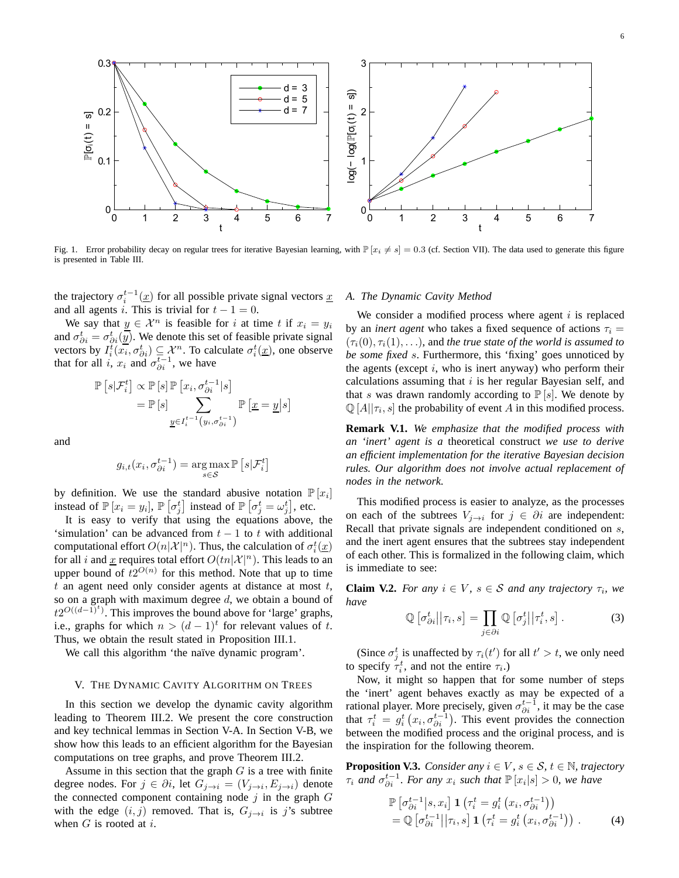

Fig. 1. Error probability decay on regular trees for iterative Bayesian learning, with  $\mathbb{P}[x_i \neq s] = 0.3$  (cf. Section VII). The data used to generate this figure is presented in Table III.

the trajectory  $\sigma_i^{t-1}(\underline{x})$  for all possible private signal vectors  $\underline{x}$ and all agents *i*. This is trivial for  $t - 1 = 0$ .

We say that  $y \in \mathcal{X}^n$  is feasible for i at time t if  $x_i = y_i$ and  $\sigma_{\partial i}^t = \sigma_{\partial i}^t(\overline{y})$ . We denote this set of feasible private signal vectors by  $I_i^t(\overline{x_i}, \sigma_{\partial i}^t) \subseteq \mathcal{X}^n$ . To calculate  $\sigma_i^t(\underline{x})$ , one observe that for all i,  $x_i$  and  $\sigma_{\partial i}^{t-1}$ , we have

$$
\mathbb{P}\left[s|\mathcal{F}_{i}^{t}\right] \propto \mathbb{P}\left[s\right] \mathbb{P}\left[x_{i}, \sigma_{\partial i}^{t-1}|s\right]
$$
\n
$$
= \mathbb{P}\left[s\right] \sum_{\underline{y} \in I_{i}^{t-1}\left(y_{i}, \sigma_{\partial i}^{t-1}\right)} \mathbb{P}\left[\underline{x} = \underline{y}\middle|s\right]
$$

and

$$
g_{i,t}(x_i, \sigma_{\partial i}^{t-1}) = \underset{s \in \mathcal{S}}{\arg \max} \mathbb{P}\left[s|\mathcal{F}_i^t\right]
$$

by definition. We use the standard abusive notation  $\mathbb{P}[x_i]$ instead of  $\mathbb{P}[x_i = y_i]$ ,  $\mathbb{P}[\sigma_j^t]$  instead of  $\mathbb{P}[\sigma_j^t = \omega_j^t]$ , etc.

It is easy to verify that using the equations above, the 'simulation' can be advanced from  $t - 1$  to t with additional computational effort  $O(n|\mathcal{X}|^n)$ . Thus, the calculation of  $\sigma_i^t(\underline{x})$ for all i and x requires total effort  $O(tn|\mathcal{X}|^n)$ . This leads to an upper bound of  $t2^{O(n)}$  for this method. Note that up to time  $t$  an agent need only consider agents at distance at most  $t$ , so on a graph with maximum degree  $d$ , we obtain a bound of  $t2^{O((d-1)^t)}$ . This improves the bound above for 'large' graphs, i.e., graphs for which  $n > (d-1)^t$  for relevant values of t. Thus, we obtain the result stated in Proposition III.1.

We call this algorithm 'the naïve dynamic program'.

## V. THE DYNAMIC CAVITY ALGORITHM ON TREES

In this section we develop the dynamic cavity algorithm leading to Theorem III.2. We present the core construction and key technical lemmas in Section V-A. In Section V-B, we show how this leads to an efficient algorithm for the Bayesian computations on tree graphs, and prove Theorem III.2.

Assume in this section that the graph  $G$  is a tree with finite degree nodes. For  $j \in \partial i$ , let  $G_{j \to i} = (V_{j \to i}, E_{j \to i})$  denote the connected component containing node  $j$  in the graph  $G$ with the edge  $(i, j)$  removed. That is,  $G_{j \to i}$  is j's subtree when  $G$  is rooted at  $i$ .

## *A. The Dynamic Cavity Method*

We consider a modified process where agent  $i$  is replaced by an *inert agent* who takes a fixed sequence of actions  $\tau_i =$  $(\tau_i(0), \tau_i(1), \ldots)$ , and *the true state of the world is assumed to be some fixed* s. Furthermore, this 'fixing' goes unnoticed by the agents (except  $i$ , who is inert anyway) who perform their calculations assuming that  $i$  is her regular Bayesian self, and that s was drawn randomly according to  $\mathbb{P}[s]$ . We denote by  $\mathbb{Q}[A || \tau_i, s]$  the probability of event A in this modified process.

**Remark V.1.** *We emphasize that the modified process with an 'inert' agent is a* theoretical construct *we use to derive an efficient implementation for the iterative Bayesian decision rules. Our algorithm does not involve actual replacement of nodes in the network.*

This modified process is easier to analyze, as the processes on each of the subtrees  $V_{j\rightarrow i}$  for  $j \in \partial i$  are independent: Recall that private signals are independent conditioned on  $s$ , and the inert agent ensures that the subtrees stay independent of each other. This is formalized in the following claim, which is immediate to see:

**Claim V.2.** *For any*  $i \in V$ *,*  $s \in S$  *and any trajectory*  $\tau_i$ *, we have*

$$
\mathbb{Q}\left[\sigma_{\partial i}^t||\tau_i, s\right] = \prod_{j \in \partial i} \mathbb{Q}\left[\sigma_j^t||\tau_i^t, s\right].\tag{3}
$$

(Since  $\sigma_j^t$  is unaffected by  $\tau_i(t')$  for all  $t' > t$ , we only need to specify  $\tau_i^t$ , and not the entire  $\tau_i$ .)

Now, it might so happen that for some number of steps the 'inert' agent behaves exactly as may be expected of a rational player. More precisely, given  $\sigma_{\partial i}^{t-1}$ , it may be the case that  $\tau_i^t = g_i^t(x_i, \sigma_{\partial i}^{t-1})$ . This event provides the connection between the modified process and the original process, and is the inspiration for the following theorem.

**Proposition V.3.** *Consider any*  $i \in V$ ,  $s \in S$ ,  $t \in \mathbb{N}$ , trajectory  $\tau_i$  and  $\sigma_{\partial i}^{t-1}$ *. For any*  $x_i$  *such that*  $\mathbb{P}[x_i|s] > 0$ *, we have* 

$$
\mathbb{P}\left[\sigma_{\partial i}^{t-1}\middle|s,x_i\right] \mathbf{1}\left(\tau_i^t = g_i^t\left(x_i, \sigma_{\partial i}^{t-1}\right)\right) \n= \mathbb{Q}\left[\sigma_{\partial i}^{t-1}\middle|\middle|\tau_i, s\right] \mathbf{1}\left(\tau_i^t = g_i^t\left(x_i, \sigma_{\partial i}^{t-1}\right)\right).
$$
\n(4)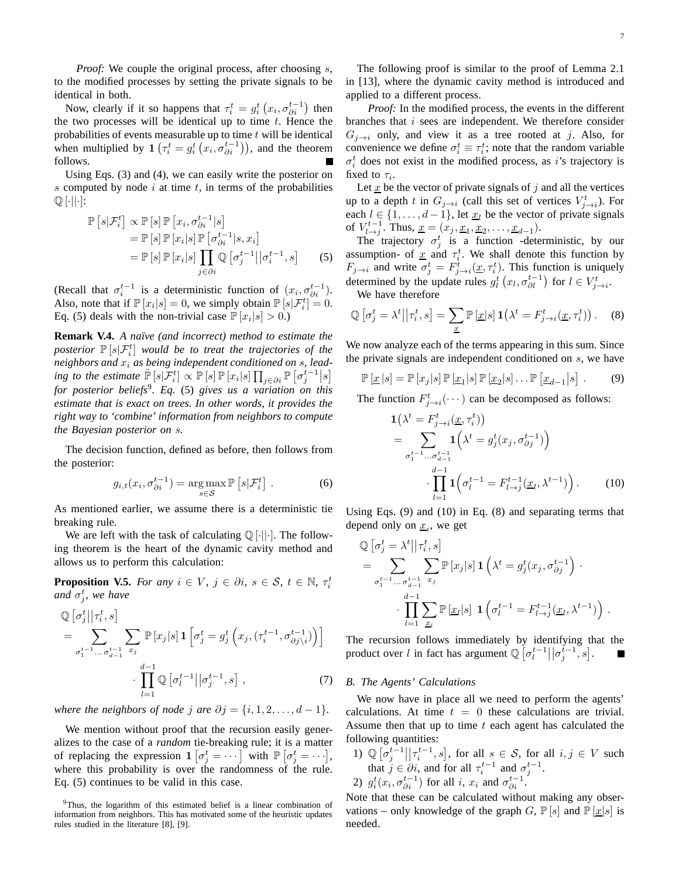*Proof:* We couple the original process, after choosing s, to the modified processes by setting the private signals to be identical in both.

Now, clearly if it so happens that  $\tau_i^t = g_i^t (x_i, \sigma_{\partial i}^{t-1})$  then the two processes will be identical up to time  $t$ . Hence the probabilities of events measurable up to time  $t$  will be identical when multiplied by  $\mathbf{1} \left( \tau_i^t = g_i^t \left( x_i, \sigma_{\partial i}^{t-1} \right) \right)$ , and the theorem follows.

Using Eqs. (3) and (4), we can easily write the posterior on s computed by node  $i$  at time  $t$ , in terms of the probabilities  $\mathbb{Q}[\cdot||\cdot]$ :

$$
\mathbb{P}\left[s|\mathcal{F}_{i}^{t}\right] \propto \mathbb{P}\left[s\right] \mathbb{P}\left[x_{i}, \sigma_{\partial i}^{t-1}|s\right]
$$
\n
$$
= \mathbb{P}\left[s\right] \mathbb{P}\left[x_{i}|s\right] \mathbb{P}\left[\sigma_{\partial i}^{t-1}|s, x_{i}\right]
$$
\n
$$
= \mathbb{P}\left[s\right] \mathbb{P}\left[x_{i}|s\right] \prod_{j \in \partial i} \mathbb{Q}\left[\sigma_{j}^{t-1}\middle|\sigma_{i}^{t-1}, s\right]
$$
\n(5)

(Recall that  $\sigma_i^{t-1}$  is a deterministic function of  $(x_i, \sigma_{\partial i}^{t-1})$ ). Also, note that if  $\mathbb{P}[x_i|s] = 0$ , we simply obtain  $\mathbb{P}[s|\mathcal{F}_i^t] = 0$ . Eq. (5) deals with the non-trivial case  $\mathbb{P}[x_i|s] > 0$ .)

**Remark V.4.** *A naïve (and incorrect) method to estimate the* posterior  $\mathbb{P}\left[s|\mathcal{F}_{i}^{t}\right]$  would be to treat the trajectories of the *neighbors and*  $x_i$  *as being independent conditioned on s, leading to the estimate*  $\tilde{\mathbb{P}}[s|\mathcal{F}_i^t] \propto \mathbb{P}[s]\mathbb{P}[x_i|s]\prod_{j\in\partial i} \mathbb{P}[\sigma_j^{t-1}|s]$ *for posterior beliefs*<sup>9</sup> *. Eq.* (5) *gives us a variation on this estimate that is exact on trees. In other words, it provides the right way to 'combine' information from neighbors to compute the Bayesian posterior on* s*.*

The decision function, defined as before, then follows from the posterior:

$$
g_{i,t}(x_i, \sigma_{\partial i}^{t-1}) = \underset{s \in \mathcal{S}}{\operatorname{arg\,max}} \mathbb{P}\left[s|\mathcal{F}_i^t\right]. \tag{6}
$$

As mentioned earlier, we assume there is a deterministic tie breaking rule.

We are left with the task of calculating  $\mathbb{O}[\cdot||\cdot]$ . The following theorem is the heart of the dynamic cavity method and allows us to perform this calculation:

**Proposition V.5.** *For any*  $i \in V$ ,  $j \in \partial i$ ,  $s \in S$ ,  $t \in \mathbb{N}$ ,  $\tau_i^t$ and  $\sigma_j^t$ , we have

$$
\mathbb{Q}\left[\sigma_j^t\middle|\middle|\tau_i^t, s\right] = \sum_{\sigma_1^{t-1}\dots\sigma_{d-1}^{t-1}} \sum_{x_j} \mathbb{P}\left[x_j\middle|s\right] \mathbf{1}\left[\sigma_j^t = g_j^t\left(x_j, \left(\tau_i^{t-1}, \sigma_{\partial j \setminus i}^{t-1}\right)\right)\right] \cdot \prod_{l=1}^{d-1} \mathbb{Q}\left[\sigma_l^{t-1}\middle|\middle|\sigma_j^{t-1}, s\right],\tag{7}
$$

*where the neighbors of node j are*  $\partial j = \{i, 1, 2, \ldots, d - 1\}$ *.* 

We mention without proof that the recursion easily generalizes to the case of a *random* tie-breaking rule; it is a matter of replacing the expression  $\mathbf{1} \left[ \sigma_j^t = \cdots \right]$  with  $\mathbb{P} \left[ \sigma_j^t = \cdots \right]$ , where this probability is over the randomness of the rule. Eq. (5) continues to be valid in this case.

The following proof is similar to the proof of Lemma 2.1 in [13], where the dynamic cavity method is introduced and applied to a different process.

*Proof:* In the modified process, the events in the different branches that  $i$  sees are independent. We therefore consider  $G_{i\rightarrow i}$  only, and view it as a tree rooted at j. Also, for convenience we define  $\sigma_i^t \equiv \tau_i^t$ ; note that the random variable  $\sigma_i^t$  does not exist in the modified process, as *i*'s trajectory is fixed to  $\tau_i$ .

Let  $\underline{x}$  be the vector of private signals of  $j$  and all the vertices up to a depth t in  $G_{j\rightarrow i}$  (call this set of vertices  $V_{j\rightarrow i}^{t}$ ). For each  $l \in \{1, \ldots, d-1\}$ , let  $\underline{x}_l$  be the vector of private signals of  $V_{l\to j}^{t-1}$ . Thus,  $\underline{x} = (x_j, \underline{x}_1, \underline{x}_2, \dots, \underline{x}_{d-1})$ .

The trajectory  $\sigma_j^t$  is a function -deterministic, by our assumption- of  $\underline{x}$  and  $\tau_i^t$ . We shall denote this function by  $F_{j\rightarrow i}$  and write  $\sigma_j^t = F_{j\rightarrow i}^t(\underline{x}, \tau_i^t)$ . This function is uniquely determined by the update rules  $g_l^t(x_l, \sigma_{\partial l}^{t-1})$  for  $l \in V_{j \to i}^t$ . We have therefore

$$
\mathbb{Q}\left[\sigma_j^t = \lambda^t \middle| \middle| \tau_i^t, s\right] = \sum_{\underline{x}} \mathbb{P}\left[\underline{x} | s\right] \mathbf{1}\left(\lambda^t = F_{j \to i}^t(\underline{x}, \tau_i^t)\right). \tag{8}
$$

We now analyze each of the terms appearing in this sum. Since the private signals are independent conditioned on  $s$ , we have

$$
\mathbb{P}\left[\underline{x}\,|s\right] = \mathbb{P}\left[x_j|s\right]\mathbb{P}\left[\underline{x}_1|s\right]\mathbb{P}\left[\underline{x}_2|s\right]\dots\mathbb{P}\left[\underline{x}_{d-1}|s\right] \,. \tag{9}
$$

The function  $F^t_{j\to i}(\cdots)$  can be decomposed as follows:

$$
\mathbf{1}(\lambda^{t} = F_{j \to i}^{t}(\underline{x}, \tau_{i}^{t}))
$$
\n
$$
= \sum_{\sigma_{1}^{t-1} \dots \sigma_{d-1}^{t-1}} \mathbf{1}\left(\lambda^{t} = g_{j}^{t}(x_{j}, \sigma_{\partial j}^{t-1})\right)
$$
\n
$$
\cdot \prod_{l=1}^{d-1} \mathbf{1}\left(\sigma_{l}^{t-1} = F_{l \to j}^{t-1}(\underline{x}_{l}, \lambda^{t-1})\right).
$$
\n(10)

Using Eqs. (9) and (10) in Eq. (8) and separating terms that depend only on  $\underline{x}_i$ , we get

$$
\mathbb{Q}\left[\sigma_j^t = \lambda^t \middle| \middle| \tau_i^t, s\right] \n= \sum_{\sigma_1^{t-1} \dots \sigma_{d-1}^{t-1}} \sum_{x_j} \mathbb{P}\left[x_j | s\right] \mathbf{1}\left(\lambda^t = g_j^t(x_j, \sigma_{\partial j}^{t-1}\right) \cdot \prod_{l=1}^{d-1} \sum_{x_l} \mathbb{P}\left[x_l | s\right] \mathbf{1}\left(\sigma_l^{t-1} = F_{l \to j}^{t-1}(\underline{x}_l, \lambda^{t-1})\right).
$$

The recursion follows immediately by identifying that the product over l in fact has argument  $\mathbb{Q}\left[\sigma_l^{t-1} \middle| \sigma_j^{t-1}, s\right]$ . Г

#### *B. The Agents' Calculations*

We now have in place all we need to perform the agents' calculations. At time  $t = 0$  these calculations are trivial. Assume then that up to time  $t$  each agent has calculated the following quantities:

1)  $\mathbb{Q}[\sigma_j^{t-1} | \tau_i^{t-1}, s]$ , for all  $s \in \mathcal{S}$ , for all  $i, j \in V$  such that  $j \in \partial i$ , and for all  $\tau_i^{t-1}$  and  $\sigma_j^{t-1}$ . 2)  $g_i^t(x_i, \sigma_{\partial i}^{t-1})$  for all i,  $x_i$  and  $\sigma_{\partial i}^{t-1}$ .

Note that these can be calculated without making any observations – only knowledge of the graph G,  $\mathbb{P}[s]$  and  $\mathbb{P}[\underline{x}|s]$  is needed.

<sup>&</sup>lt;sup>9</sup>Thus, the logarithm of this estimated belief is a linear combination of information from neighbors. This has motivated some of the heuristic updates rules studied in the literature [8], [9].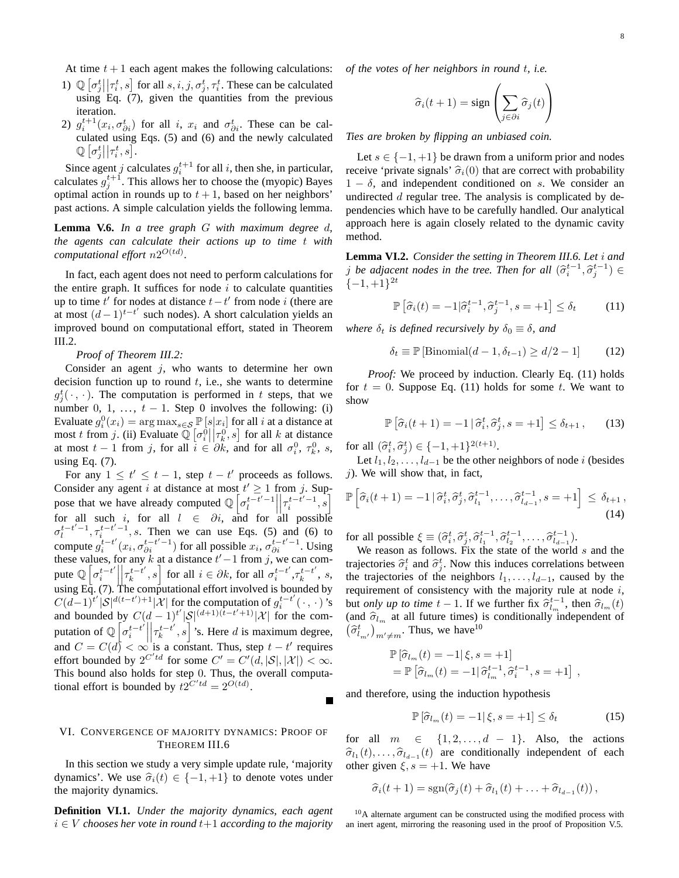At time  $t + 1$  each agent makes the following calculations:

- 1)  $\mathbb{Q}[\sigma_j^t || \tau_i^t, s]$  for all  $s, i, j, \sigma_j^t, \tau_i^t$ . These can be calculated using Eq.  $(7)$ , given the quantities from the previous iteration.
- 2)  $g_i^{t+1}(x_i, \sigma_{\partial i}^t)$  for all i,  $x_i$  and  $\sigma_{\partial i}^t$ . These can be calculated using Eqs. (5) and (6) and the newly calculated  $\mathbb{Q}\left[\sigma_j^t\big|\big|\tau_i^t,s\right]$ .

Since agent j calculates  $g_i^{t+1}$  for all i, then she, in particular, calculates  $g_j^{t+1}$ . This allows her to choose the (myopic) Bayes optimal action in rounds up to  $t + 1$ , based on her neighbors' past actions. A simple calculation yields the following lemma.

**Lemma V.6.** *In a tree graph* G *with maximum degree* d*, the agents can calculate their actions up to time* t *with computational effort*  $n2^{O(td)}$ *.* 

In fact, each agent does not need to perform calculations for the entire graph. It suffices for node  $i$  to calculate quantities up to time  $t'$  for nodes at distance  $t - t'$  from node i (there are at most  $(d-1)^{t-t'}$  such nodes). A short calculation yields an improved bound on computational effort, stated in Theorem III.2.

*Proof of Theorem III.2:*

Consider an agent  $j$ , who wants to determine her own decision function up to round  $t$ , i.e., she wants to determine  $g_j^t(\cdot, \cdot)$ . The computation is performed in t steps, that we number 0, 1, ...,  $t - 1$ . Step 0 involves the following: (i) Evaluate  $g_i^0(x_i) = \arg \max_{s \in \mathcal{S}} \mathbb{P}\left[s|x_i\right]$  for all *i* at a distance at most t from j. (ii) Evaluate  $\mathbb{Q}[\sigma_i^0||\tau_k^0, s]$  for all k at distance at most  $t-1$  from j, for all  $i \in \partial k$ , and for all  $\sigma_i^0$ ,  $\tau_k^0$ , s, using Eq. (7).

For any  $1 \le t' \le t - 1$ , step  $t - t'$  proceeds as follows. Consider any agent i at distance at most  $t' \geq 1$  from j. Suppose that we have already computed  $\mathbb{Q} \left[ \sigma_t^{t-t'-1} \right]$  $\overline{\mathcal{L}}$  $\left[\tau_i^{t-t'-1},s\right]$ for all such i, for all  $l \in \partial i$ , and for all possible  $\sigma_l^{t-t'-1}, \tau_i^{t-t'-1}, s$ . Then we can use Eqs. (5) and (6) to compute  $g_i^{t-t'}$  $\int_{i}^{t-t'} (x_i, \sigma_{\partial i}^{t-t'-1})$  for all possible  $x_i, \sigma_{\partial i}^{t-t'-1}$ . Using these values, for any k at a distance  $t'-1$  from j, we can compute  $\mathbb{Q} \left[ \sigma_i^{t-t'} \right]$ i  $\overline{\mathbf{a}}$  $\left[\tau_k^{t-t'}\right]$  $\left[ \begin{array}{c} t-t' \\ k \end{array} \right]$  for all  $i \in \partial k$ , for all  $\sigma_i^{t-t'}$  $i^{t-t'}, \tau_k^{t-t'}$  $\frac{t-t}{k}$ , s, using Eq. (7). The computational effort involved is bounded by  $C(d-1)^{t'}|S|^{d(t-t')+1}|\mathcal{X}|$  for the computation of  $g_i^{t-t'}$  $i^{t-t'}(\cdot,\cdot)'$ s and bounded by  $C(d-1)^{t'}|\mathcal{S}|^{(d+1)(t-t'+1)}|\mathcal{X}|$  for the computation of  $\mathbb{Q}$   $\left[\sigma_i^{t-t}\right]$ i  $\overline{\phantom{a}}$  $\Big|\tau_k^{t-t'}\Big|$  $\left[\begin{array}{c} t-t' \\ k \end{array}\right]$ 's. Here d is maximum degree, and  $C = C(d) < \infty$  is a constant. Thus, step  $t - t'$  requires effort bounded by  $2^{C'td}$  for some  $C' = C'(d, |\mathcal{S}|, |\mathcal{X}|) < \infty$ . This bound also holds for step 0. Thus, the overall computational effort is bounded by  $t2^{C'td} = 2^{O(td)}$ .

# VI. CONVERGENCE OF MAJORITY DYNAMICS: PROOF OF THEOREM III.6

In this section we study a very simple update rule, 'majority dynamics'. We use  $\hat{\sigma}_i(t) \in \{-1, +1\}$  to denote votes under the majority dynamics.

**Definition VI.1.** *Under the majority dynamics, each agent*  $i \in V$  *chooses her vote in round*  $t+1$  *according to the majority*  *of the votes of her neighbors in round* t*, i.e.*

$$
\widehat{\sigma}_i(t+1) = \text{sign}\left(\sum_{j \in \partial i} \widehat{\sigma}_j(t)\right)
$$

*Ties are broken by flipping an unbiased coin.*

Let  $s \in \{-1, +1\}$  be drawn from a uniform prior and nodes receive 'private signals'  $\hat{\sigma}_i(0)$  that are correct with probability  $1 - \delta$ , and independent conditioned on s. We consider an undirected  $d$  regular tree. The analysis is complicated by dependencies which have to be carefully handled. Our analytical approach here is again closely related to the dynamic cavity method.

**Lemma VI.2.** *Consider the setting in Theorem III.6. Let* i *and j* be adjacent nodes in the tree. Then for all  $(\hat{\sigma}_i^{t-1}, \hat{\sigma}_j^{t-1}) \in$  $\{-1,+1\}^{2t}$ 

$$
\mathbb{P}\left[\widehat{\sigma}_i(t) = -1|\widehat{\sigma}_i^{t-1}, \widehat{\sigma}_j^{t-1}, s = +1\right] \le \delta_t \tag{11}
$$

*where*  $\delta_t$  *is defined recursively by*  $\delta_0 \equiv \delta$ *, and* 

 $\delta_t \equiv \mathbb{P} [\text{Binomial}(d-1, \delta_{t-1}) \ge d/2 - 1]$  (12)

*Proof:* We proceed by induction. Clearly Eq. (11) holds for  $t = 0$ . Suppose Eq. (11) holds for some t. We want to show

$$
\mathbb{P}\left[\hat{\sigma}_i(t+1)=-1\,|\,\hat{\sigma}_i^t,\hat{\sigma}_j^t,s=+1\right]\leq \delta_{t+1},\qquad(13)
$$

for all  $(\hat{\sigma}_i^t, \hat{\sigma}_j^t) \in \{-1, +1\}^{2(t+1)}$ .

Let  $l_1, l_2, \ldots, l_{d-1}$  be the other neighbors of node i (besides  $j$ ). We will show that, in fact,

$$
\mathbb{P}\left[\widehat{\sigma}_i(t+1)=-1 \,|\, \widehat{\sigma}_i^t, \widehat{\sigma}_j^t, \widehat{\sigma}_{l_1}^{t-1}, \dots, \widehat{\sigma}_{l_{d-1}}^{t-1}, s=+1\right] \leq \delta_{t+1},\tag{14}
$$

for all possible  $\xi \equiv (\hat{\sigma}_i^t, \hat{\sigma}_j^t, \hat{\sigma}_{l_1}^{t-1}, \hat{\sigma}_{l_2}^{t-1}, \dots, \hat{\sigma}_{l_{d-1}}^{t-1}).$ 

We reason as follows. Fix the state of the world  $s$  and the trajectories  $\hat{\sigma}_i^t$  and  $\hat{\sigma}_j^t$ . Now this induces correlations between the trajectories of the neighbors  $l_1, \ldots, l_{d-1}$ , caused by the requirement of consistency with the majority rule at node  $i$ , but *only up to time*  $t - 1$ . If we further fix  $\hat{\sigma}_{l_m}^{t-1}$ , then  $\hat{\sigma}_{l_m}(t)$ (and  $\hat{\sigma}_{l_m}$  at all future times) is conditionally independent of σb t lm′ m′6=m . Thus, we have<sup>10</sup>

$$
\mathbb{P}\left[\hat{\sigma}_{l_m}(t)=-1|\xi,s=+1\right]
$$
  
= 
$$
\mathbb{P}\left[\hat{\sigma}_{l_m}(t)=-1|\hat{\sigma}_{l_m}^{t-1},\hat{\sigma}_{i}^{t-1},s=+1\right],
$$

and therefore, using the induction hypothesis

$$
\mathbb{P}\left[\hat{\sigma}_{l_m}(t) = -1 | \xi, s = +1\right] \le \delta_t \tag{15}
$$

for all  $m \in \{1, 2, \ldots, d - 1\}$ . Also, the actions  $\hat{\sigma}_{l_1}(t), \ldots, \hat{\sigma}_{l_{d-1}}(t)$  are conditionally independent of each other given  $\xi$ ,  $s = +1$ . We have

$$
\widehat{\sigma}_i(t+1) = \mathrm{sgn}(\widehat{\sigma}_j(t) + \widehat{\sigma}_{l_1}(t) + \ldots + \widehat{\sigma}_{l_{d-1}}(t)),
$$

 $10$ A alternate argument can be constructed using the modified process with an inert agent, mirroring the reasoning used in the proof of Proposition V.5.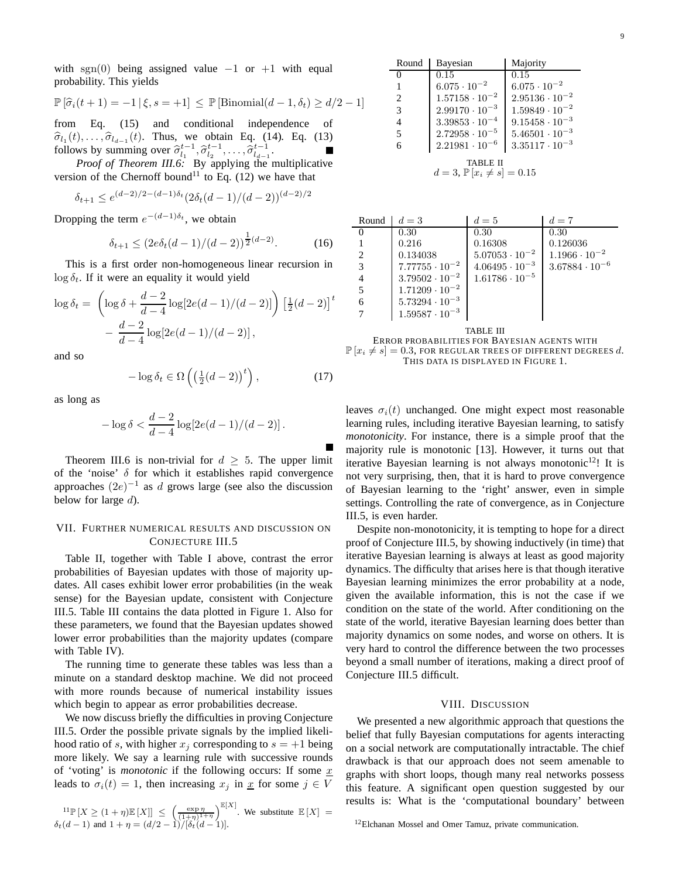with sgn(0) being assigned value  $-1$  or  $+1$  with equal probability. This yields

$$
\mathbb{P}\left[\widehat{\sigma}_i(t+1) = -1 \,|\, \xi, s = +1\right] \leq \mathbb{P}\left[\text{Binomial}(d-1, \delta_t) \geq d/2 - 1\right]
$$

from Eq. (15) and conditional independence of  $\hat{\sigma}_{l_1}(t), \dots, \hat{\sigma}_{l_{d-1}}(t)$ . Thus, we obtain Eq. (14). Eq. (13) follows by summing over  $\hat{\sigma}_{l_1}^{t-1}, \hat{\sigma}_{l_2}^{t-1}, \dots, \hat{\sigma}_{l_d-1}^{t-1}$ .

*Proof of Theorem III.6:* By applying the multiplicative version of the Chernoff bound<sup>11</sup> to Eq. (12) we have that

$$
\delta_{t+1} \le e^{(d-2)/2 - (d-1)\delta_t} (2\delta_t (d-1)/(d-2))^{(d-2)/2}
$$

Dropping the term  $e^{-(d-1)\delta_t}$ , we obtain

$$
\delta_{t+1} \le (2e\delta_t(d-1)/(d-2))^{\frac{1}{2}(d-2)}.
$$
 (16)

This is a first order non-homogeneous linear recursion in  $\log \delta_t$ . If it were an equality it would yield

$$
\log \delta_t = \left( \log \delta + \frac{d-2}{d-4} \log[2e(d-1)/(d-2)] \right) \left[ \frac{1}{2}(d-2) \right]^t - \frac{d-2}{d-4} \log[2e(d-1)/(d-2)] ,
$$

and so

$$
-\log \delta_t \in \Omega \left( \left( \frac{1}{2}(d-2) \right)^t \right),\tag{17}
$$

as long as

$$
-\log \delta < \frac{d-2}{d-4} \log[2e(d-1)/(d-2)].
$$

Theorem III.6 is non-trivial for  $d \geq 5$ . The upper limit of the 'noise'  $\delta$  for which it establishes rapid convergence approaches  $(2e)^{-1}$  as d grows large (see also the discussion below for large  $d$ ).

# VII. FURTHER NUMERICAL RESULTS AND DISCUSSION ON CONJECTURE III.5

Table II, together with Table I above, contrast the error probabilities of Bayesian updates with those of majority updates. All cases exhibit lower error probabilities (in the weak sense) for the Bayesian update, consistent with Conjecture III.5. Table III contains the data plotted in Figure 1. Also for these parameters, we found that the Bayesian updates showed lower error probabilities than the majority updates (compare with Table IV).

The running time to generate these tables was less than a minute on a standard desktop machine. We did not proceed with more rounds because of numerical instability issues which begin to appear as error probabilities decrease.

We now discuss briefly the difficulties in proving Conjecture III.5. Order the possible private signals by the implied likelihood ratio of s, with higher  $x_j$  corresponding to  $s = +1$  being more likely. We say a learning rule with successive rounds of 'voting' is *monotonic* if the following occurs: If some  $x$ leads to  $\sigma_i(t) = 1$ , then increasing  $x_j$  in  $\underline{x}$  for some  $j \in V$ 

$$
{}^{11}\mathbb{P}\left[X \geq (1+\eta)\mathbb{E}\left[X\right]\right] \leq \left(\frac{\exp \eta}{(1+\eta)^{1+\eta}}\right)^{\mathbb{E}\left[X\right]}
$$
. We substitute  $\mathbb{E}\left[X\right] = \delta_t(d-1)$  and  $1+\eta = (d/2-1)/[\delta_t(d-1)]$ .

| Round                                                     | Bayesian                | Majority                |  |  |
|-----------------------------------------------------------|-------------------------|-------------------------|--|--|
| 0                                                         | 0.15                    | 0.15                    |  |  |
| 1                                                         | $6.075 \cdot 10^{-2}$   | $6.075 \cdot 10^{-2}$   |  |  |
| 2                                                         | $1.57158 \cdot 10^{-2}$ | $2.95136 \cdot 10^{-2}$ |  |  |
| 3                                                         | $2.99170 \cdot 10^{-3}$ | $1.59849 \cdot 10^{-2}$ |  |  |
| 4                                                         | $3.39853 \cdot 10^{-4}$ | $9.15458 \cdot 10^{-3}$ |  |  |
| 5                                                         | $2.72958 \cdot 10^{-5}$ | $5.46501 \cdot 10^{-3}$ |  |  |
| 6                                                         | $2.21981 \cdot 10^{-6}$ | $3.35117 \cdot 10^{-3}$ |  |  |
| <b>TABLE II</b><br>$d = 3, \mathbb{P}[x_i \neq s] = 0.15$ |                         |                         |  |  |

| Round          | $d=3$                   | $d=5$                   | $d=7$                   |
|----------------|-------------------------|-------------------------|-------------------------|
| $\theta$       | 0.30                    | 0.30 <sub>1</sub>       | 0.30                    |
|                | 0.216                   | 0.16308                 | 0.126036                |
| 2              | 0.134038                | $5.07053 \cdot 10^{-2}$ | $1.1966 \cdot 10^{-2}$  |
| 3              | $7.77755 \cdot 10^{-2}$ | $4.06495 \cdot 10^{-3}$ | $3.67884 \cdot 10^{-6}$ |
| $\overline{4}$ | $3.79502 \cdot 10^{-2}$ | $1.61786 \cdot 10^{-5}$ |                         |
| 5              | $1.71209 \cdot 10^{-2}$ |                         |                         |
| 6              | $5.73294 \cdot 10^{-3}$ |                         |                         |
|                | $1.59587 \cdot 10^{-3}$ |                         |                         |

TABLE III

ERROR PROBABILITIES FOR BAYESIAN AGENTS WITH  $\mathbb{P}[x_i \neq s] = 0.3$ , FOR REGULAR TREES OF DIFFERENT DEGREES d. THIS DATA IS DISPLAYED IN FIGURE 1.

leaves  $\sigma_i(t)$  unchanged. One might expect most reasonable learning rules, including iterative Bayesian learning, to satisfy *monotonicity*. For instance, there is a simple proof that the majority rule is monotonic [13]. However, it turns out that iterative Bayesian learning is not always monotonic<sup>12</sup>! It is not very surprising, then, that it is hard to prove convergence of Bayesian learning to the 'right' answer, even in simple settings. Controlling the rate of convergence, as in Conjecture III.5, is even harder.

Despite non-monotonicity, it is tempting to hope for a direct proof of Conjecture III.5, by showing inductively (in time) that iterative Bayesian learning is always at least as good majority dynamics. The difficulty that arises here is that though iterative Bayesian learning minimizes the error probability at a node, given the available information, this is not the case if we condition on the state of the world. After conditioning on the state of the world, iterative Bayesian learning does better than majority dynamics on some nodes, and worse on others. It is very hard to control the difference between the two processes beyond a small number of iterations, making a direct proof of Conjecture III.5 difficult.

#### VIII. DISCUSSION

We presented a new algorithmic approach that questions the belief that fully Bayesian computations for agents interacting on a social network are computationally intractable. The chief drawback is that our approach does not seem amenable to graphs with short loops, though many real networks possess this feature. A significant open question suggested by our results is: What is the 'computational boundary' between

<sup>&</sup>lt;sup>12</sup>Elchanan Mossel and Omer Tamuz, private communication.